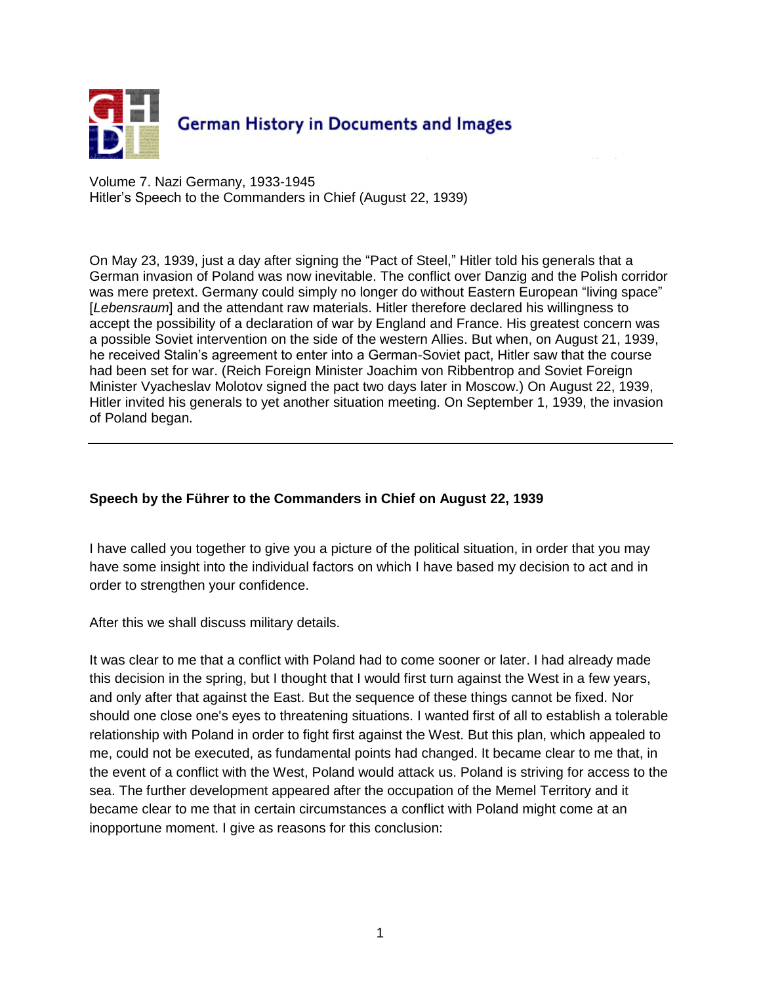

Volume 7. Nazi Germany, 1933-1945 Hitler's Speech to the Commanders in Chief (August 22, 1939)

On May 23, 1939, just a day after signing the "Pact of Steel," Hitler told his generals that a German invasion of Poland was now inevitable. The conflict over Danzig and the Polish corridor was mere pretext. Germany could simply no longer do without Eastern European "living space" [*Lebensraum*] and the attendant raw materials. Hitler therefore declared his willingness to accept the possibility of a declaration of war by England and France. His greatest concern was a possible Soviet intervention on the side of the western Allies. But when, on August 21, 1939, he received Stalin's agreement to enter into a German-Soviet pact, Hitler saw that the course had been set for war. (Reich Foreign Minister Joachim von Ribbentrop and Soviet Foreign Minister Vyacheslav Molotov signed the pact two days later in Moscow.) On August 22, 1939, Hitler invited his generals to yet another situation meeting. On September 1, 1939, the invasion of Poland began.

## **Speech by the Führer to the Commanders in Chief on August 22, 1939**

I have called you together to give you a picture of the political situation, in order that you may have some insight into the individual factors on which I have based my decision to act and in order to strengthen your confidence.

After this we shall discuss military details.

It was clear to me that a conflict with Poland had to come sooner or later. I had already made this decision in the spring, but I thought that I would first turn against the West in a few years, and only after that against the East. But the sequence of these things cannot be fixed. Nor should one close one's eyes to threatening situations. I wanted first of all to establish a tolerable relationship with Poland in order to fight first against the West. But this plan, which appealed to me, could not be executed, as fundamental points had changed. It became clear to me that, in the event of a conflict with the West, Poland would attack us. Poland is striving for access to the sea. The further development appeared after the occupation of the Memel Territory and it became clear to me that in certain circumstances a conflict with Poland might come at an inopportune moment. I give as reasons for this conclusion: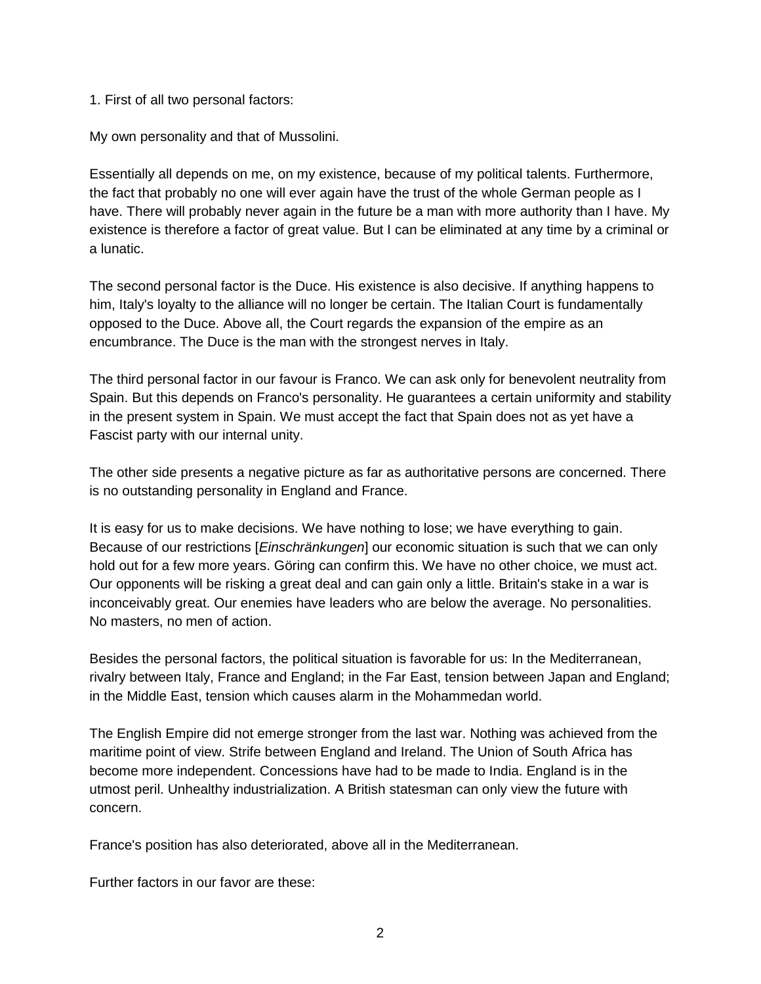## 1. First of all two personal factors:

My own personality and that of Mussolini.

Essentially all depends on me, on my existence, because of my political talents. Furthermore, the fact that probably no one will ever again have the trust of the whole German people as I have. There will probably never again in the future be a man with more authority than I have. My existence is therefore a factor of great value. But I can be eliminated at any time by a criminal or a lunatic.

The second personal factor is the Duce. His existence is also decisive. If anything happens to him, Italy's loyalty to the alliance will no longer be certain. The Italian Court is fundamentally opposed to the Duce. Above all, the Court regards the expansion of the empire as an encumbrance. The Duce is the man with the strongest nerves in Italy.

The third personal factor in our favour is Franco. We can ask only for benevolent neutrality from Spain. But this depends on Franco's personality. He guarantees a certain uniformity and stability in the present system in Spain. We must accept the fact that Spain does not as yet have a Fascist party with our internal unity.

The other side presents a negative picture as far as authoritative persons are concerned. There is no outstanding personality in England and France.

It is easy for us to make decisions. We have nothing to lose; we have everything to gain. Because of our restrictions [*Einschränkungen*] our economic situation is such that we can only hold out for a few more years. Göring can confirm this. We have no other choice, we must act. Our opponents will be risking a great deal and can gain only a little. Britain's stake in a war is inconceivably great. Our enemies have leaders who are below the average. No personalities. No masters, no men of action.

Besides the personal factors, the political situation is favorable for us: In the Mediterranean, rivalry between Italy, France and England; in the Far East, tension between Japan and England; in the Middle East, tension which causes alarm in the Mohammedan world.

The English Empire did not emerge stronger from the last war. Nothing was achieved from the maritime point of view. Strife between England and Ireland. The Union of South Africa has become more independent. Concessions have had to be made to India. England is in the utmost peril. Unhealthy industrialization. A British statesman can only view the future with concern.

France's position has also deteriorated, above all in the Mediterranean.

Further factors in our favor are these: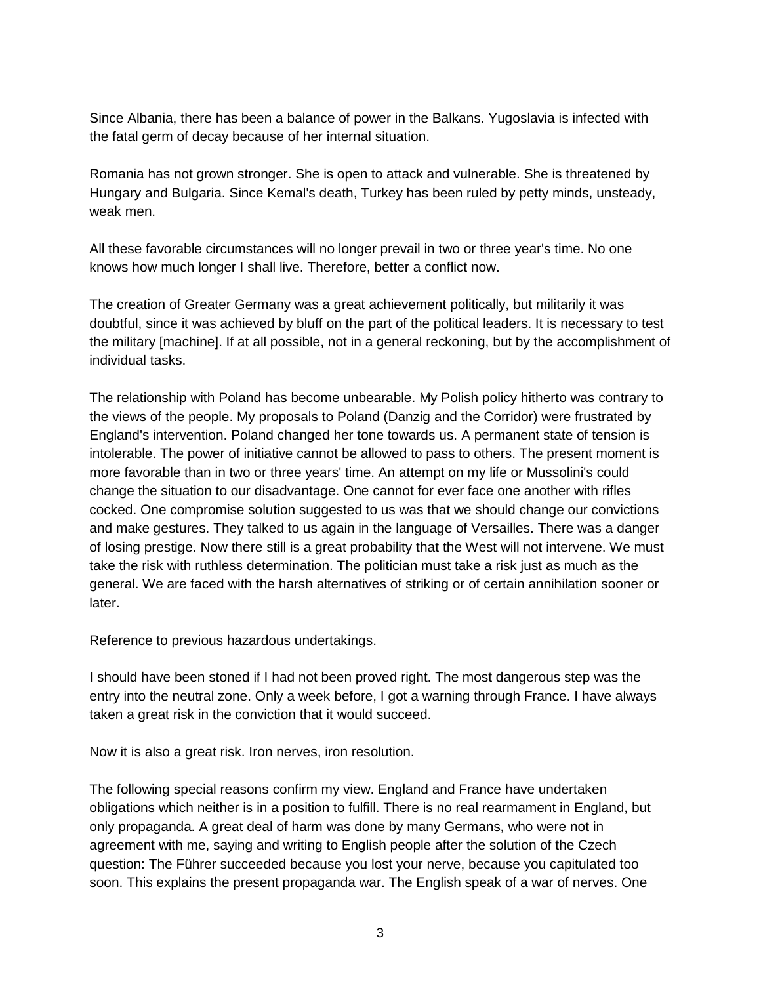Since Albania, there has been a balance of power in the Balkans. Yugoslavia is infected with the fatal germ of decay because of her internal situation.

Romania has not grown stronger. She is open to attack and vulnerable. She is threatened by Hungary and Bulgaria. Since Kemal's death, Turkey has been ruled by petty minds, unsteady, weak men.

All these favorable circumstances will no longer prevail in two or three year's time. No one knows how much longer I shall live. Therefore, better a conflict now.

The creation of Greater Germany was a great achievement politically, but militarily it was doubtful, since it was achieved by bluff on the part of the political leaders. It is necessary to test the military [machine]. If at all possible, not in a general reckoning, but by the accomplishment of individual tasks.

The relationship with Poland has become unbearable. My Polish policy hitherto was contrary to the views of the people. My proposals to Poland (Danzig and the Corridor) were frustrated by England's intervention. Poland changed her tone towards us. A permanent state of tension is intolerable. The power of initiative cannot be allowed to pass to others. The present moment is more favorable than in two or three years' time. An attempt on my life or Mussolini's could change the situation to our disadvantage. One cannot for ever face one another with rifles cocked. One compromise solution suggested to us was that we should change our convictions and make gestures. They talked to us again in the language of Versailles. There was a danger of losing prestige. Now there still is a great probability that the West will not intervene. We must take the risk with ruthless determination. The politician must take a risk just as much as the general. We are faced with the harsh alternatives of striking or of certain annihilation sooner or later.

Reference to previous hazardous undertakings.

I should have been stoned if I had not been proved right. The most dangerous step was the entry into the neutral zone. Only a week before, I got a warning through France. I have always taken a great risk in the conviction that it would succeed.

Now it is also a great risk. Iron nerves, iron resolution.

The following special reasons confirm my view. England and France have undertaken obligations which neither is in a position to fulfill. There is no real rearmament in England, but only propaganda. A great deal of harm was done by many Germans, who were not in agreement with me, saying and writing to English people after the solution of the Czech question: The Führer succeeded because you lost your nerve, because you capitulated too soon. This explains the present propaganda war. The English speak of a war of nerves. One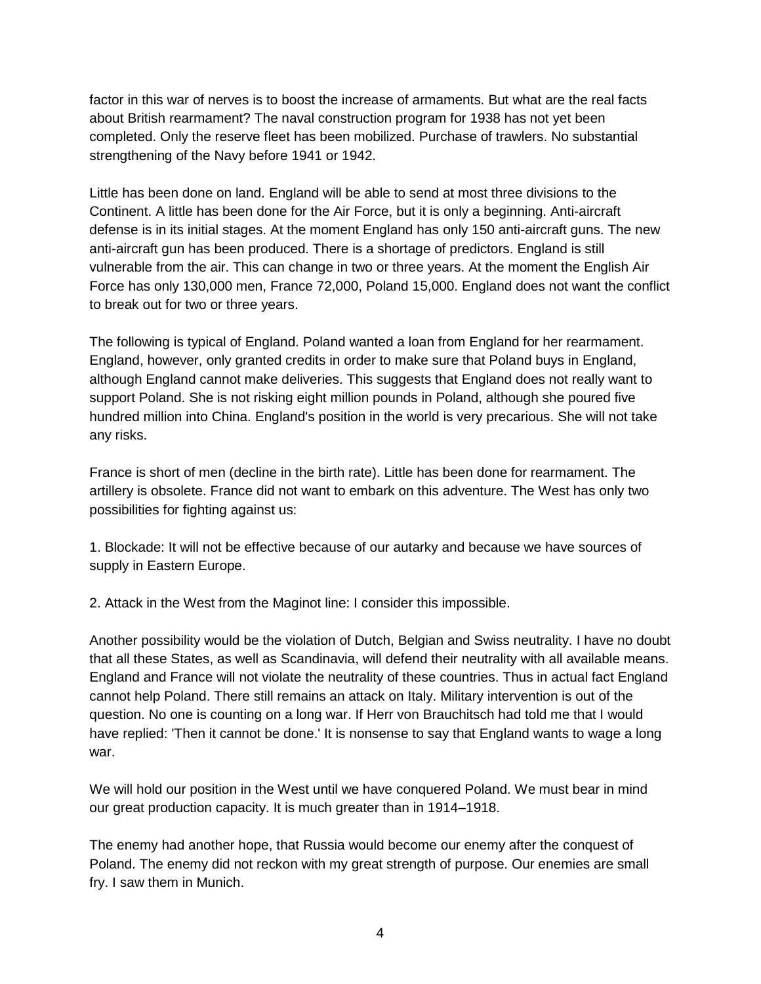factor in this war of nerves is to boost the increase of armaments. But what are the real facts about British rearmament? The naval construction program for 1938 has not yet been completed. Only the reserve fleet has been mobilized. Purchase of trawlers. No substantial strengthening of the Navy before 1941 or 1942.

Little has been done on land. England will be able to send at most three divisions to the Continent. A little has been done for the Air Force, but it is only a beginning. Anti-aircraft defense is in its initial stages. At the moment England has only 150 anti-aircraft guns. The new anti-aircraft gun has been produced. There is a shortage of predictors. England is still vulnerable from the air. This can change in two or three years. At the moment the English Air Force has only 130,000 men, France 72,000, Poland 15,000. England does not want the conflict to break out for two or three years.

The following is typical of England. Poland wanted a loan from England for her rearmament. England, however, only granted credits in order to make sure that Poland buys in England, although England cannot make deliveries. This suggests that England does not really want to support Poland. She is not risking eight million pounds in Poland, although she poured five hundred million into China. England's position in the world is very precarious. She will not take any risks.

France is short of men (decline in the birth rate). Little has been done for rearmament. The artillery is obsolete. France did not want to embark on this adventure. The West has only two possibilities for fighting against us:

1. Blockade: It will not be effective because of our autarky and because we have sources of supply in Eastern Europe.

2. Attack in the West from the Maginot line: I consider this impossible.

Another possibility would be the violation of Dutch, Belgian and Swiss neutrality. I have no doubt that all these States, as well as Scandinavia, will defend their neutrality with all available means. England and France will not violate the neutrality of these countries. Thus in actual fact England cannot help Poland. There still remains an attack on Italy. Military intervention is out of the question. No one is counting on a long war. If Herr von Brauchitsch had told me that I would have replied: 'Then it cannot be done.' It is nonsense to say that England wants to wage a long war.

We will hold our position in the West until we have conquered Poland. We must bear in mind our great production capacity. It is much greater than in 1914–1918.

The enemy had another hope, that Russia would become our enemy after the conquest of Poland. The enemy did not reckon with my great strength of purpose. Our enemies are small fry. I saw them in Munich.